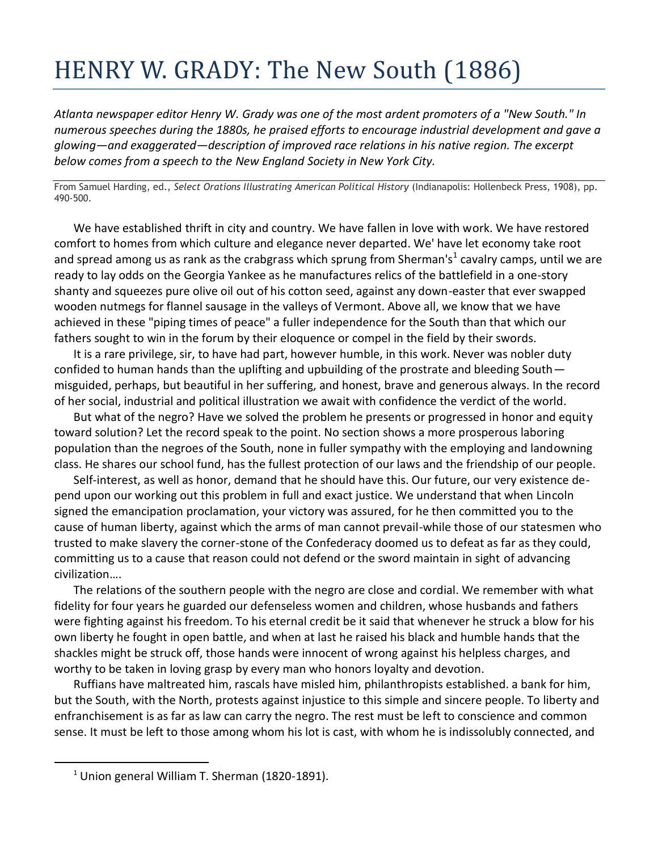## HENRY W. GRADY: The New South (1886)

*Atlanta newspaper editor Henry W. Grady was one of the most ardent promoters of a "New South." In numerous speeches during the 1880s, he praised efforts to encourage industrial development and gave a glowing—and exaggerated—description of improved race relations in his native region. The excerpt below comes from a speech to the New England Society in New York City.* 

From Samuel Harding, ed., *Select Orations Illustrating American Political History* (Indianapolis: Hollenbeck Press, 1908), pp. 490-500.

We have established thrift in city and country. We have fallen in love with work. We have restored comfort to homes from which culture and elegance never departed. We' have let economy take root and spread among us as rank as the crabgrass which sprung from Sherman's<sup>1</sup> cavalry camps, until we are ready to lay odds on the Georgia Yankee as he manufactures relics of the battlefield in a one-story shanty and squeezes pure olive oil out of his cotton seed, against any down-easter that ever swapped wooden nutmegs for flannel sausage in the valleys of Vermont. Above all, we know that we have achieved in these "piping times of peace" a fuller independence for the South than that which our fathers sought to win in the forum by their eloquence or compel in the field by their swords.

It is a rare privilege, sir, to have had part, however humble, in this work. Never was nobler duty confided to human hands than the uplifting and upbuilding of the prostrate and bleeding South misguided, perhaps, but beautiful in her suffering, and honest, brave and generous always. In the record of her social, industrial and political illustration we await with confidence the verdict of the world.

But what of the negro? Have we solved the problem he presents or progressed in honor and equity toward solution? Let the record speak to the point. No section shows a more prosperous laboring population than the negroes of the South, none in fuller sympathy with the employing and landowning class. He shares our school fund, has the fullest protection of our laws and the friendship of our people.

Self-interest, as well as honor, demand that he should have this. Our future, our very existence depend upon our working out this problem in full and exact justice. We understand that when Lincoln signed the emancipation proclamation, your victory was assured, for he then committed you to the cause of human liberty, against which the arms of man cannot prevail-while those of our statesmen who trusted to make slavery the corner-stone of the Confederacy doomed us to defeat as far as they could, committing us to a cause that reason could not defend or the sword maintain in sight of advancing civilization….

The relations of the southern people with the negro are close and cordial. We remember with what fidelity for four years he guarded our defenseless women and children, whose husbands and fathers were fighting against his freedom. To his eternal credit be it said that whenever he struck a blow for his own liberty he fought in open battle, and when at last he raised his black and humble hands that the shackles might be struck off, those hands were innocent of wrong against his helpless charges, and worthy to be taken in loving grasp by every man who honors loyalty and devotion.

Ruffians have maltreated him, rascals have misled him, philanthropists established. a bank for him, but the South, with the North, protests against injustice to this simple and sincere people. To liberty and enfranchisement is as far as law can carry the negro. The rest must be left to conscience and common sense. It must be left to those among whom his lot is cast, with whom he is indissolubly connected, and

 $\overline{a}$ 

 $1$  Union general William T. Sherman (1820-1891).